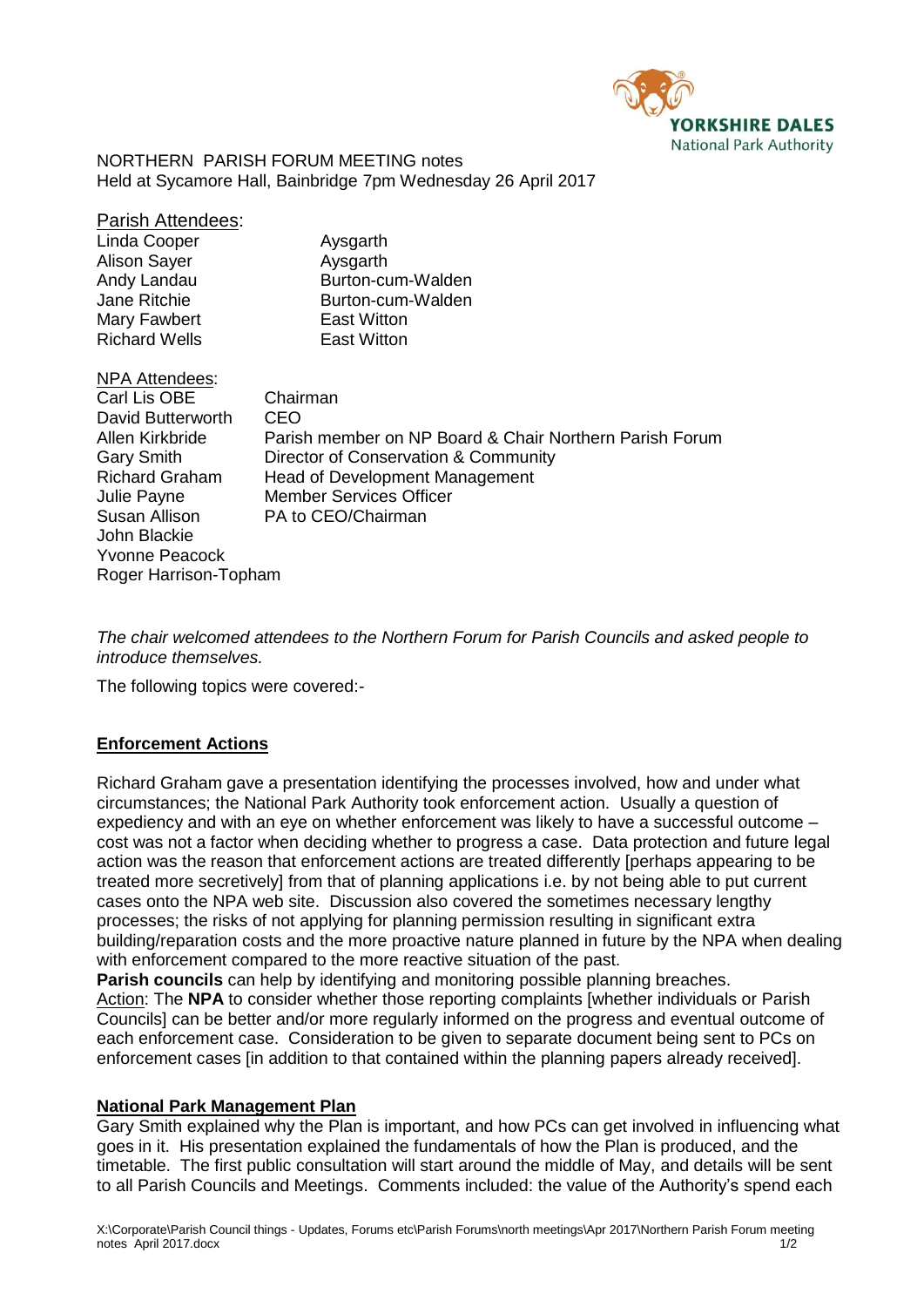

NORTHERN PARISH FORUM MEETING notes Held at Sycamore Hall, Bainbridge 7pm Wednesday 26 April 2017

| Parish Attendees:     |                                                         |
|-----------------------|---------------------------------------------------------|
| Linda Cooper          | Aysgarth                                                |
| Alison Sayer          | Aysgarth                                                |
| Andy Landau           | Burton-cum-Walden                                       |
| <b>Jane Ritchie</b>   | Burton-cum-Walden                                       |
| Mary Fawbert          | East Witton                                             |
| <b>Richard Wells</b>  | <b>East Witton</b>                                      |
| NPA Attendees:        |                                                         |
| Carl Lis OBE          | Chairman                                                |
| David Butterworth     | CEO                                                     |
| Allen Kirkbride       | Parish member on NP Board & Chair Northern Parish Forum |
| Gary Smith            | Director of Conservation & Community                    |
| <b>Richard Graham</b> | <b>Head of Development Management</b>                   |
| Julie Payne           | <b>Member Services Officer</b>                          |
| Susan Allison         | PA to CEO/Chairman                                      |
| John Blackie          |                                                         |
| Yvonne Peacock        |                                                         |
| Roger Harrison-Topham |                                                         |
|                       |                                                         |

*The chair welcomed attendees to the Northern Forum for Parish Councils and asked people to introduce themselves.*

The following topics were covered:-

# **Enforcement Actions**

Richard Graham gave a presentation identifying the processes involved, how and under what circumstances; the National Park Authority took enforcement action. Usually a question of expediency and with an eye on whether enforcement was likely to have a successful outcome – cost was not a factor when deciding whether to progress a case. Data protection and future legal action was the reason that enforcement actions are treated differently [perhaps appearing to be treated more secretively] from that of planning applications i.e. by not being able to put current cases onto the NPA web site. Discussion also covered the sometimes necessary lengthy processes; the risks of not applying for planning permission resulting in significant extra building/reparation costs and the more proactive nature planned in future by the NPA when dealing with enforcement compared to the more reactive situation of the past.

**Parish councils** can help by identifying and monitoring possible planning breaches. Action: The **NPA** to consider whether those reporting complaints [whether individuals or Parish Councils] can be better and/or more regularly informed on the progress and eventual outcome of each enforcement case. Consideration to be given to separate document being sent to PCs on enforcement cases [in addition to that contained within the planning papers already received].

#### **National Park Management Plan**

Gary Smith explained why the Plan is important, and how PCs can get involved in influencing what goes in it. His presentation explained the fundamentals of how the Plan is produced, and the timetable. The first public consultation will start around the middle of May, and details will be sent to all Parish Councils and Meetings. Comments included: the value of the Authority's spend each